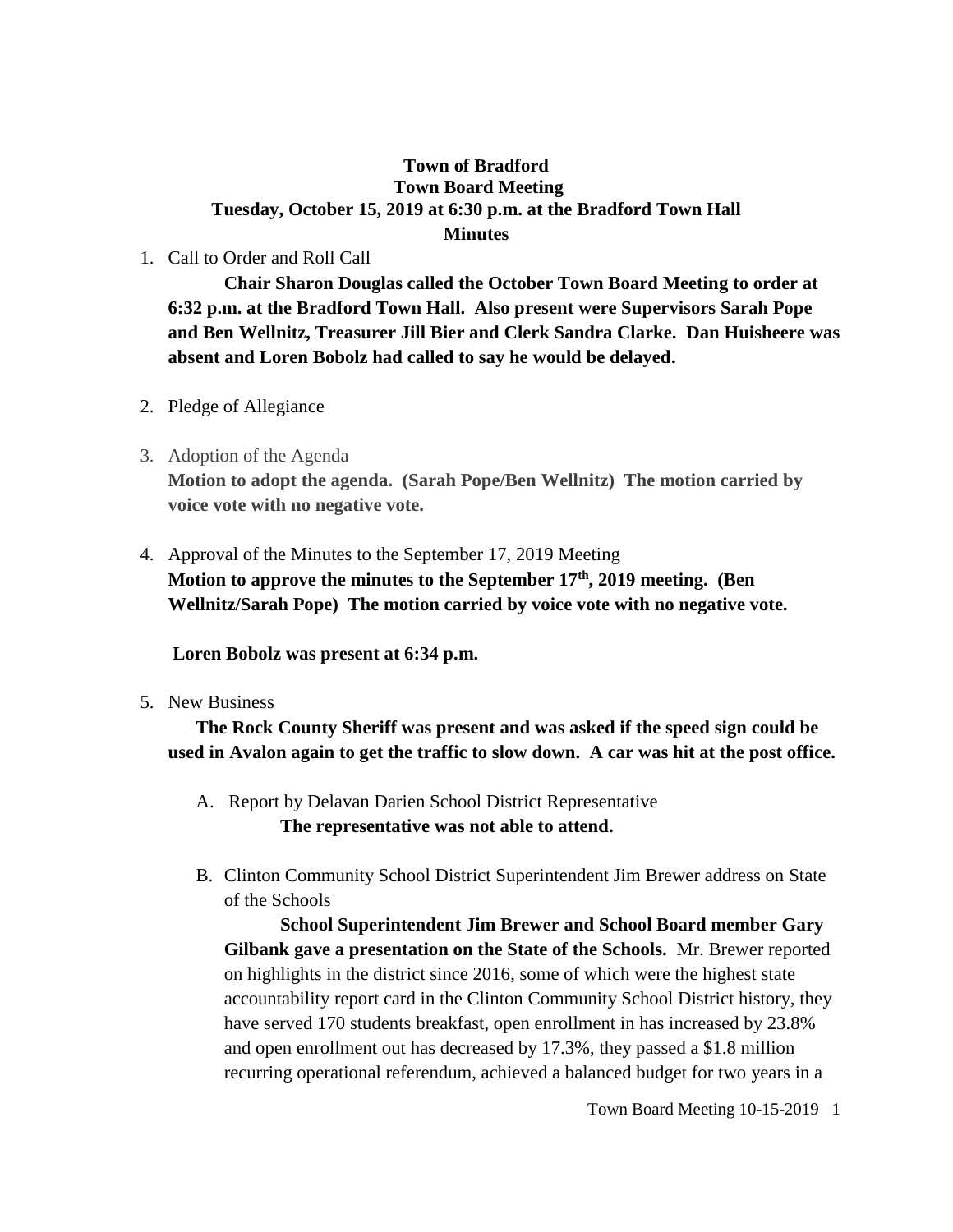## **Town of Bradford Town Board Meeting Tuesday, October 15, 2019 at 6:30 p.m. at the Bradford Town Hall Minutes**

1. Call to Order and Roll Call

**Chair Sharon Douglas called the October Town Board Meeting to order at 6:32 p.m. at the Bradford Town Hall. Also present were Supervisors Sarah Pope and Ben Wellnitz, Treasurer Jill Bier and Clerk Sandra Clarke. Dan Huisheere was absent and Loren Bobolz had called to say he would be delayed.**

- 2. Pledge of Allegiance
- 3. Adoption of the Agenda **Motion to adopt the agenda. (Sarah Pope/Ben Wellnitz) The motion carried by voice vote with no negative vote.**
- 4. Approval of the Minutes to the September 17, 2019 Meeting **Motion to approve the minutes to the September 17th, 2019 meeting. (Ben Wellnitz/Sarah Pope) The motion carried by voice vote with no negative vote.**

**Loren Bobolz was present at 6:34 p.m.**

5. New Business

**The Rock County Sheriff was present and was asked if the speed sign could be used in Avalon again to get the traffic to slow down. A car was hit at the post office.**

- A. Report by Delavan Darien School District Representative **The representative was not able to attend.**
- B. Clinton Community School District Superintendent Jim Brewer address on State of the Schools

**School Superintendent Jim Brewer and School Board member Gary Gilbank gave a presentation on the State of the Schools.** Mr. Brewer reported on highlights in the district since 2016, some of which were the highest state accountability report card in the Clinton Community School District history, they have served 170 students breakfast, open enrollment in has increased by 23.8% and open enrollment out has decreased by 17.3%, they passed a \$1.8 million recurring operational referendum, achieved a balanced budget for two years in a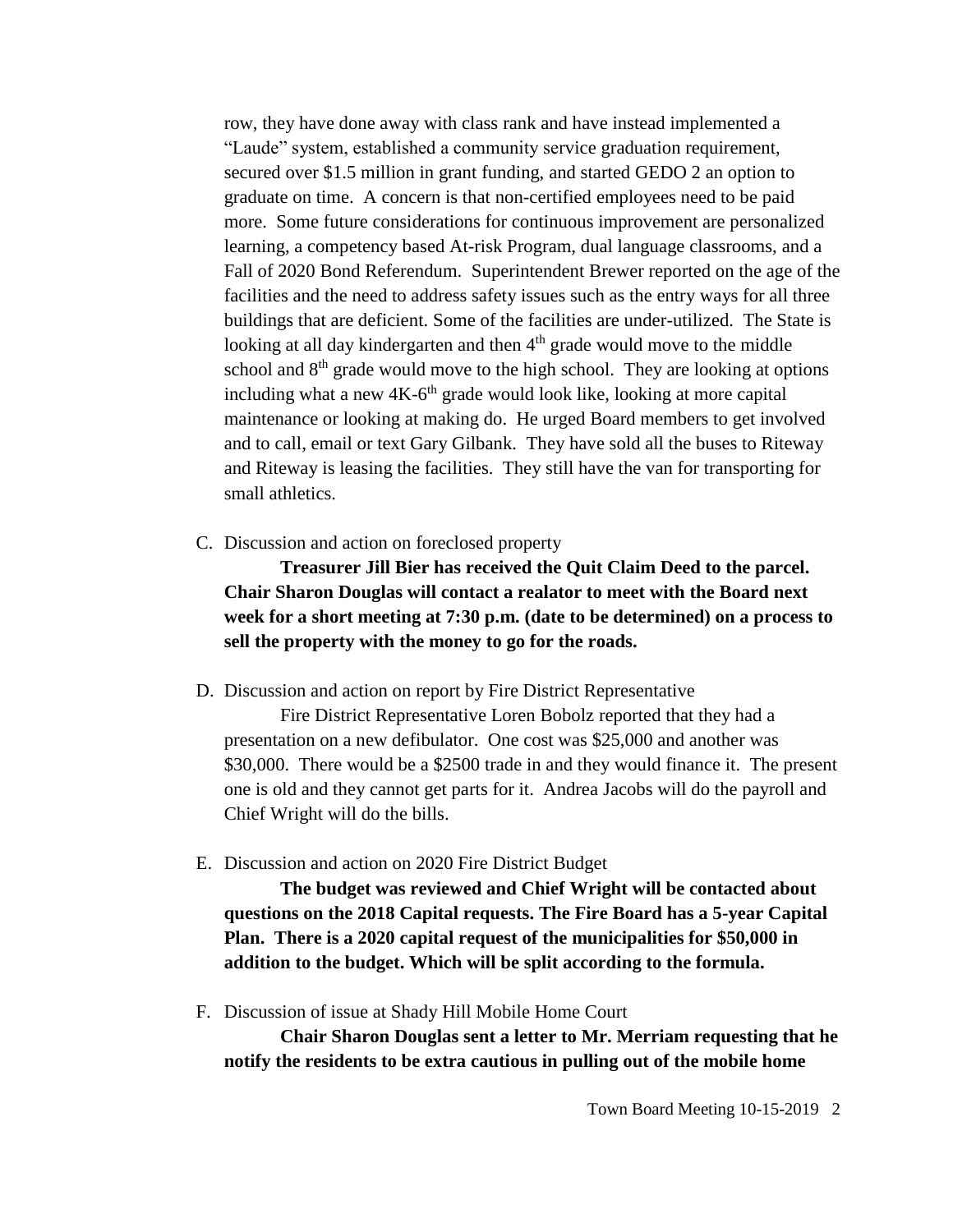row, they have done away with class rank and have instead implemented a "Laude" system, established a community service graduation requirement, secured over \$1.5 million in grant funding, and started GEDO 2 an option to graduate on time. A concern is that non-certified employees need to be paid more. Some future considerations for continuous improvement are personalized learning, a competency based At-risk Program, dual language classrooms, and a Fall of 2020 Bond Referendum. Superintendent Brewer reported on the age of the facilities and the need to address safety issues such as the entry ways for all three buildings that are deficient. Some of the facilities are under-utilized. The State is looking at all day kindergarten and then  $4<sup>th</sup>$  grade would move to the middle school and 8<sup>th</sup> grade would move to the high school. They are looking at options including what a new 4K-6<sup>th</sup> grade would look like, looking at more capital maintenance or looking at making do. He urged Board members to get involved and to call, email or text Gary Gilbank. They have sold all the buses to Riteway and Riteway is leasing the facilities. They still have the van for transporting for small athletics.

C. Discussion and action on foreclosed property

**Treasurer Jill Bier has received the Quit Claim Deed to the parcel. Chair Sharon Douglas will contact a realator to meet with the Board next week for a short meeting at 7:30 p.m. (date to be determined) on a process to sell the property with the money to go for the roads.** 

D. Discussion and action on report by Fire District Representative

Fire District Representative Loren Bobolz reported that they had a presentation on a new defibulator. One cost was \$25,000 and another was \$30,000. There would be a \$2500 trade in and they would finance it. The present one is old and they cannot get parts for it. Andrea Jacobs will do the payroll and Chief Wright will do the bills.

E. Discussion and action on 2020 Fire District Budget

**The budget was reviewed and Chief Wright will be contacted about questions on the 2018 Capital requests. The Fire Board has a 5-year Capital Plan. There is a 2020 capital request of the municipalities for \$50,000 in addition to the budget. Which will be split according to the formula.**

F. Discussion of issue at Shady Hill Mobile Home Court

**Chair Sharon Douglas sent a letter to Mr. Merriam requesting that he notify the residents to be extra cautious in pulling out of the mobile home**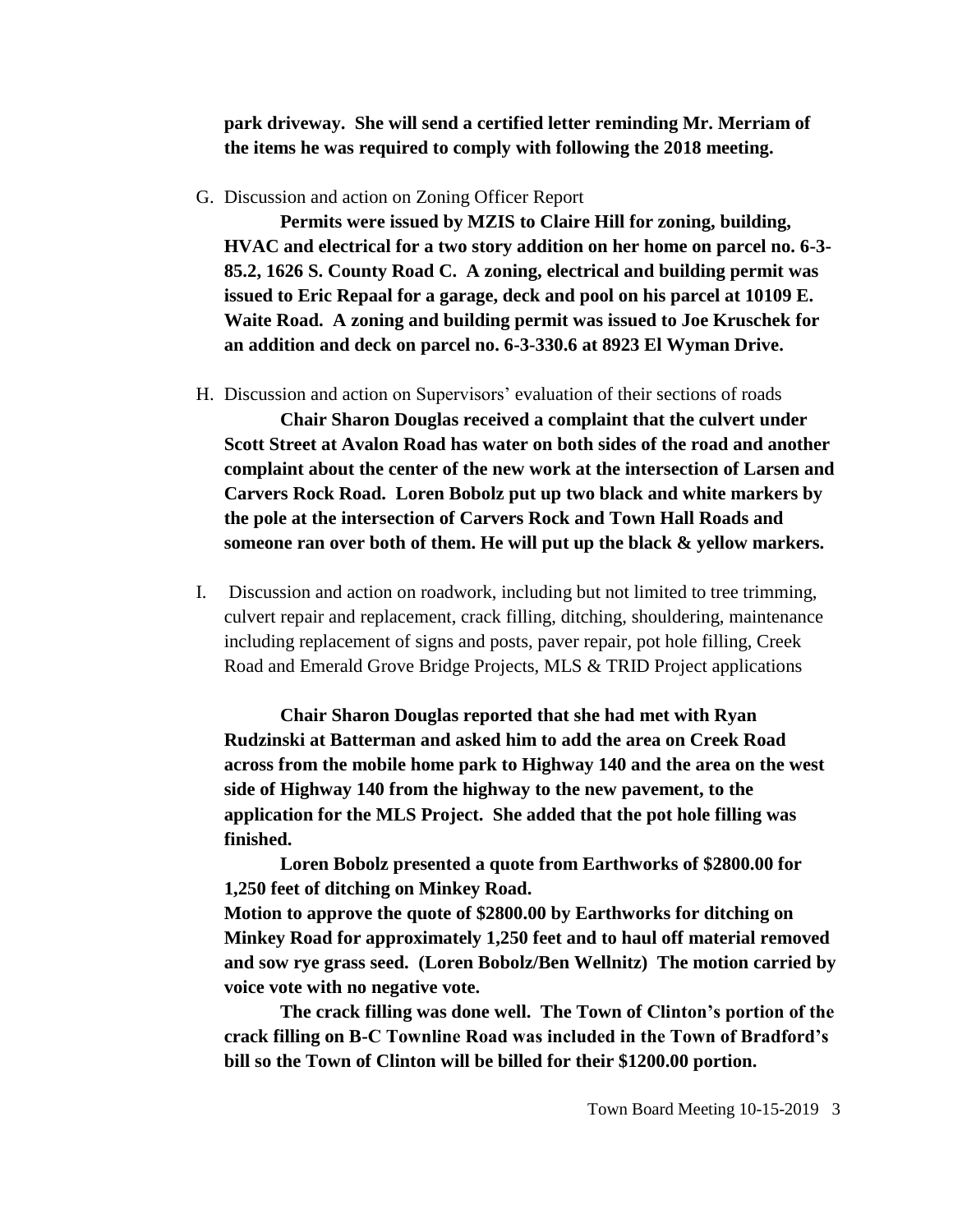**park driveway. She will send a certified letter reminding Mr. Merriam of the items he was required to comply with following the 2018 meeting.** 

G. Discussion and action on Zoning Officer Report

**Permits were issued by MZIS to Claire Hill for zoning, building, HVAC and electrical for a two story addition on her home on parcel no. 6-3- 85.2, 1626 S. County Road C. A zoning, electrical and building permit was issued to Eric Repaal for a garage, deck and pool on his parcel at 10109 E. Waite Road. A zoning and building permit was issued to Joe Kruschek for an addition and deck on parcel no. 6-3-330.6 at 8923 El Wyman Drive.**

H. Discussion and action on Supervisors' evaluation of their sections of roads

**Chair Sharon Douglas received a complaint that the culvert under Scott Street at Avalon Road has water on both sides of the road and another complaint about the center of the new work at the intersection of Larsen and Carvers Rock Road. Loren Bobolz put up two black and white markers by the pole at the intersection of Carvers Rock and Town Hall Roads and someone ran over both of them. He will put up the black & yellow markers.**

I. Discussion and action on roadwork, including but not limited to tree trimming, culvert repair and replacement, crack filling, ditching, shouldering, maintenance including replacement of signs and posts, paver repair, pot hole filling, Creek Road and Emerald Grove Bridge Projects, MLS & TRID Project applications

**Chair Sharon Douglas reported that she had met with Ryan Rudzinski at Batterman and asked him to add the area on Creek Road across from the mobile home park to Highway 140 and the area on the west side of Highway 140 from the highway to the new pavement, to the application for the MLS Project. She added that the pot hole filling was finished.** 

**Loren Bobolz presented a quote from Earthworks of \$2800.00 for 1,250 feet of ditching on Minkey Road.** 

**Motion to approve the quote of \$2800.00 by Earthworks for ditching on Minkey Road for approximately 1,250 feet and to haul off material removed and sow rye grass seed. (Loren Bobolz/Ben Wellnitz) The motion carried by voice vote with no negative vote.**

**The crack filling was done well. The Town of Clinton's portion of the crack filling on B-C Townline Road was included in the Town of Bradford's bill so the Town of Clinton will be billed for their \$1200.00 portion.**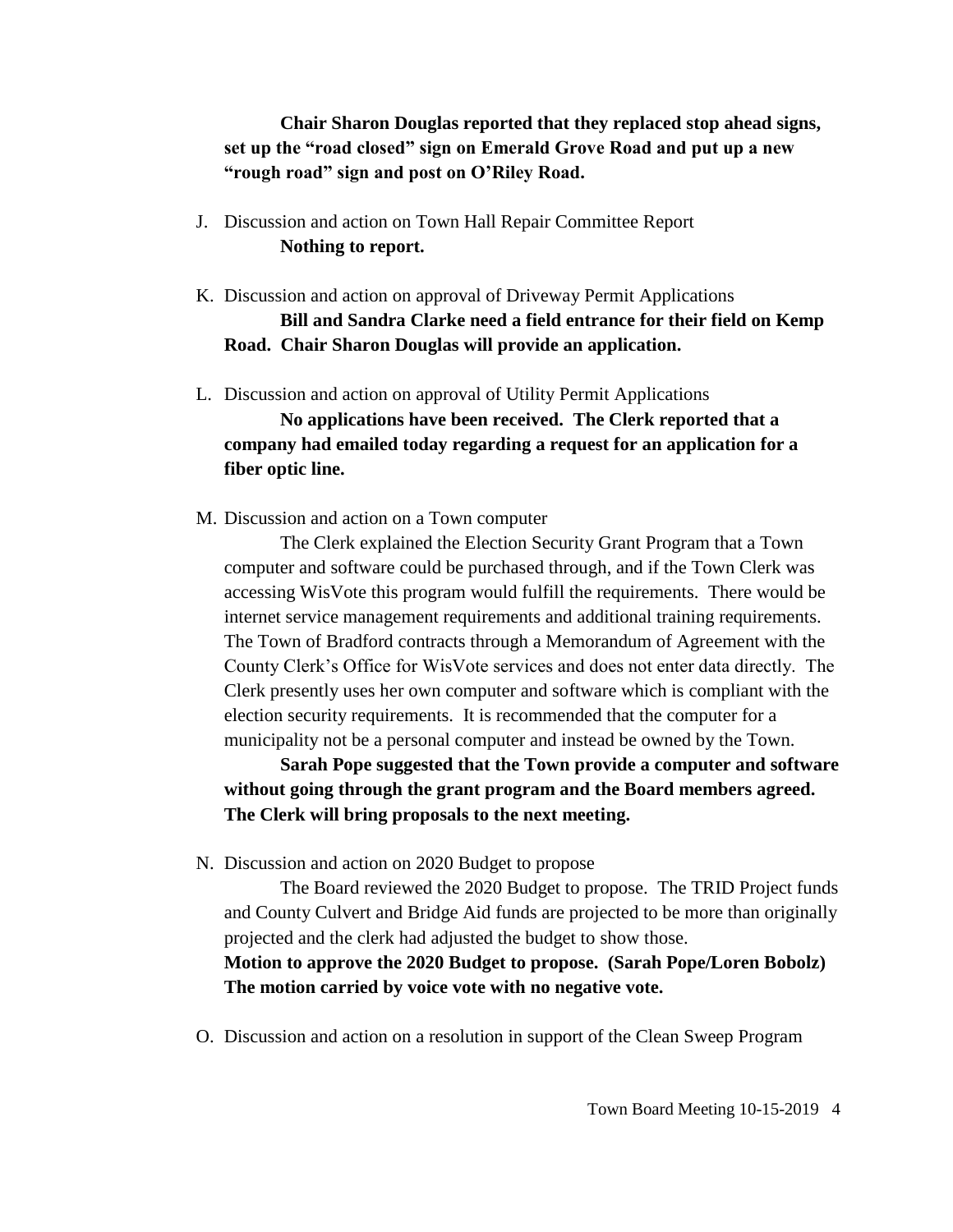**Chair Sharon Douglas reported that they replaced stop ahead signs, set up the "road closed" sign on Emerald Grove Road and put up a new "rough road" sign and post on O'Riley Road.**

- J. Discussion and action on Town Hall Repair Committee Report **Nothing to report.**
- K. Discussion and action on approval of Driveway Permit Applications **Bill and Sandra Clarke need a field entrance for their field on Kemp Road. Chair Sharon Douglas will provide an application.**
- L. Discussion and action on approval of Utility Permit Applications

**No applications have been received. The Clerk reported that a company had emailed today regarding a request for an application for a fiber optic line.**

M. Discussion and action on a Town computer

The Clerk explained the Election Security Grant Program that a Town computer and software could be purchased through, and if the Town Clerk was accessing WisVote this program would fulfill the requirements. There would be internet service management requirements and additional training requirements. The Town of Bradford contracts through a Memorandum of Agreement with the County Clerk's Office for WisVote services and does not enter data directly. The Clerk presently uses her own computer and software which is compliant with the election security requirements. It is recommended that the computer for a municipality not be a personal computer and instead be owned by the Town.

**Sarah Pope suggested that the Town provide a computer and software without going through the grant program and the Board members agreed. The Clerk will bring proposals to the next meeting.**

N. Discussion and action on 2020 Budget to propose

The Board reviewed the 2020 Budget to propose. The TRID Project funds and County Culvert and Bridge Aid funds are projected to be more than originally projected and the clerk had adjusted the budget to show those.

## **Motion to approve the 2020 Budget to propose. (Sarah Pope/Loren Bobolz) The motion carried by voice vote with no negative vote.**

O. Discussion and action on a resolution in support of the Clean Sweep Program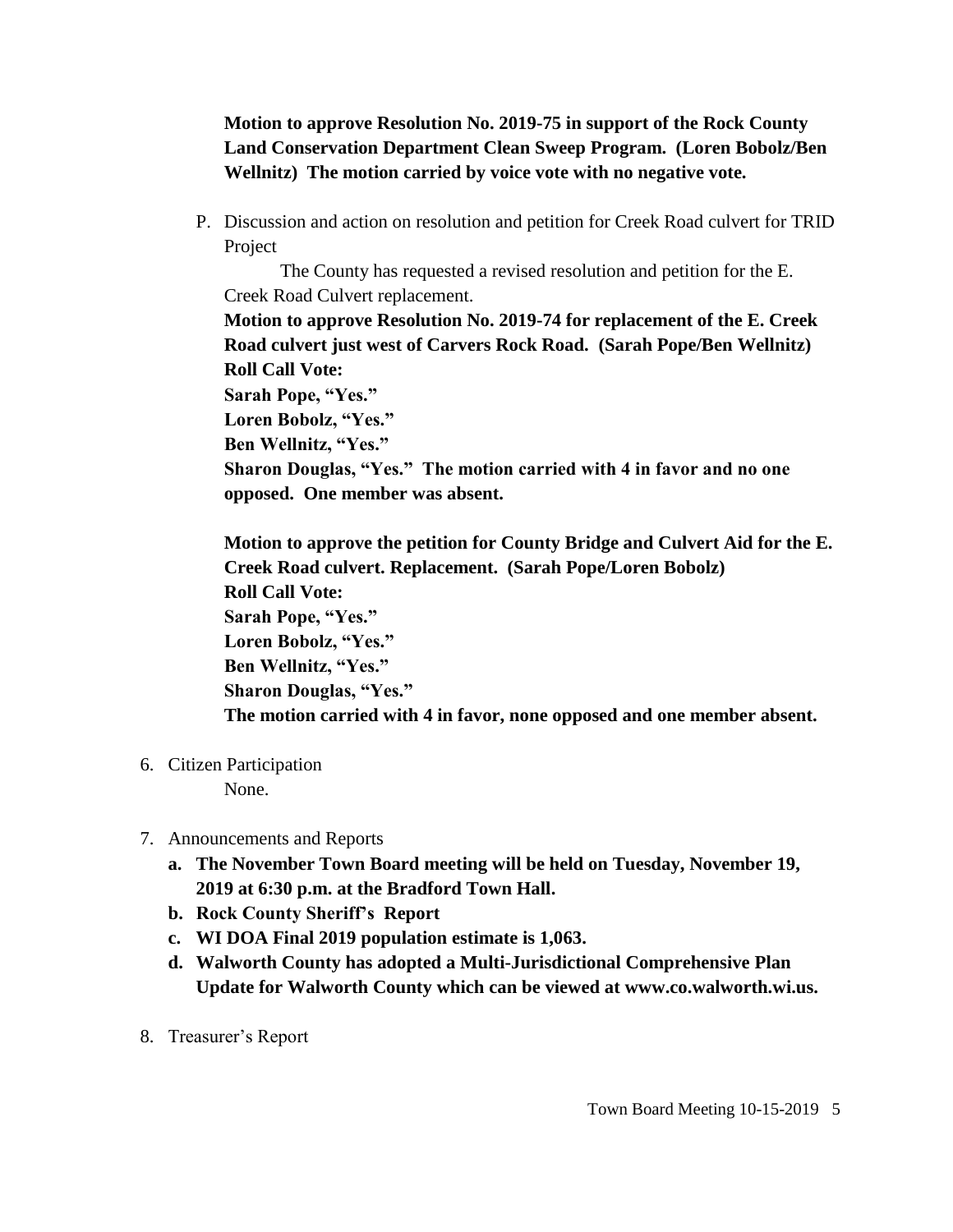**Motion to approve Resolution No. 2019-75 in support of the Rock County Land Conservation Department Clean Sweep Program. (Loren Bobolz/Ben Wellnitz) The motion carried by voice vote with no negative vote.**

P. Discussion and action on resolution and petition for Creek Road culvert for TRID Project

The County has requested a revised resolution and petition for the E. Creek Road Culvert replacement.

**Motion to approve Resolution No. 2019-74 for replacement of the E. Creek Road culvert just west of Carvers Rock Road. (Sarah Pope/Ben Wellnitz) Roll Call Vote:**

**Sarah Pope, "Yes."**

**Loren Bobolz, "Yes."**

**Ben Wellnitz, "Yes."**

**Sharon Douglas, "Yes." The motion carried with 4 in favor and no one opposed. One member was absent.**

**Motion to approve the petition for County Bridge and Culvert Aid for the E. Creek Road culvert. Replacement. (Sarah Pope/Loren Bobolz) Roll Call Vote: Sarah Pope, "Yes." Loren Bobolz, "Yes." Ben Wellnitz, "Yes." Sharon Douglas, "Yes." The motion carried with 4 in favor, none opposed and one member absent.**

6. Citizen Participation

None.

- 7. Announcements and Reports
	- **a. The November Town Board meeting will be held on Tuesday, November 19, 2019 at 6:30 p.m. at the Bradford Town Hall.**
	- **b. Rock County Sheriff's Report**
	- **c. WI DOA Final 2019 population estimate is 1,063.**
	- **d. Walworth County has adopted a Multi-Jurisdictional Comprehensive Plan Update for Walworth County which can be viewed at www.co.walworth.wi.us.**
- 8. Treasurer's Report